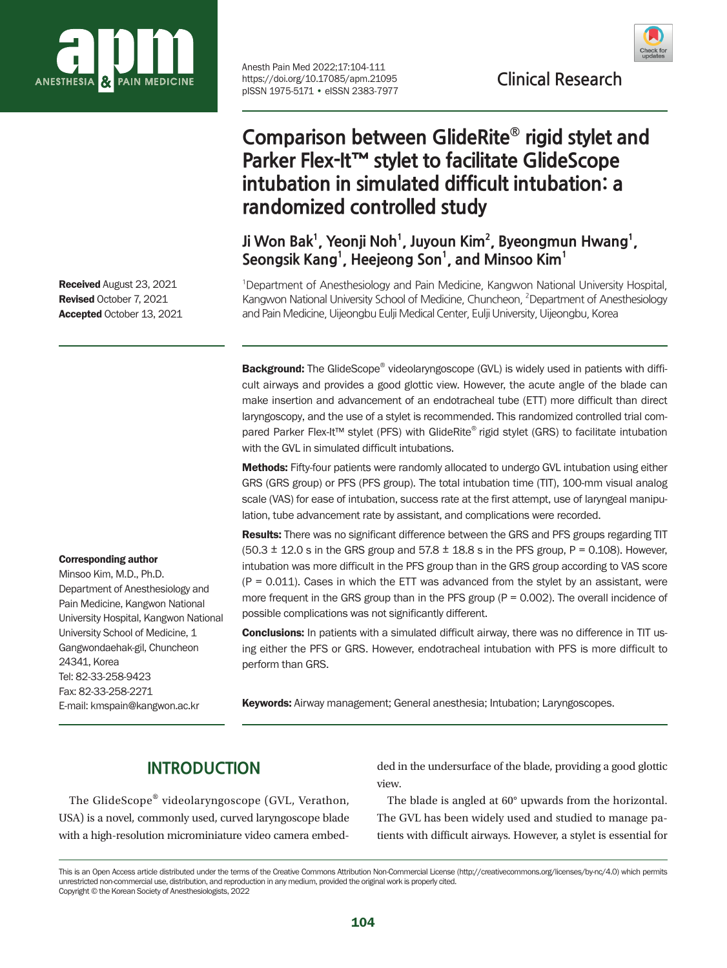

Received August 23, 2021 Revised October 7, 2021 Accepted October 13, 2021

#### Corresponding author

Minsoo Kim, M.D., Ph.D. Department of Anesthesiology and Pain Medicine, Kangwon National University Hospital, Kangwon National University School of Medicine, 1 Gangwondaehak-gil, Chuncheon 24341, Korea Tel: 82-33-258-9423 Fax: 82-33-258-2271 E-mail: kmspain@kangwon.ac.kr

**Clinical Research** Anesth Pain Med 2022;17:104-111 https://doi.org/10.17085/apm.21095 pISSN 1975-5171 • eISSN 2383-7977



# **Comparison between GlideRite® rigid stylet and Parker Flex-It™ stylet to facilitate GlideScope intubation in simulated difficult intubation: a randomized controlled study**

## Ji Won Bak<sup>1</sup>, Yeonji Noh<sup>1</sup>, Juyoun Kim<sup>2</sup>, Byeongmun Hwang<sup>1</sup>, Seongsik Kang<sup>1</sup>, Heejeong Son<sup>1</sup>, and Minsoo Kim<sup>1</sup>

<sup>1</sup>Department of Anesthesiology and Pain Medicine, Kangwon National University Hospital, Kangwon National University School of Medicine, Chuncheon, <sup>2</sup> Department of Anesthesiology and Pain Medicine, Uijeongbu Eulji Medical Center, Eulji University, Uijeongbu, Korea

Background: The GlideScope® videolaryngoscope (GVL) is widely used in patients with difficult airways and provides a good glottic view. However, the acute angle of the blade can make insertion and advancement of an endotracheal tube (ETT) more difficult than direct laryngoscopy, and the use of a stylet is recommended. This randomized controlled trial compared Parker Flex-It™ stylet (PFS) with GlideRite® rigid stylet (GRS) to facilitate intubation with the GVL in simulated difficult intubations.

Methods: Fifty-four patients were randomly allocated to undergo GVL intubation using either GRS (GRS group) or PFS (PFS group). The total intubation time (TIT), 100-mm visual analog scale (VAS) for ease of intubation, success rate at the first attempt, use of laryngeal manipulation, tube advancement rate by assistant, and complications were recorded.

Results: There was no significant difference between the GRS and PFS groups regarding TIT  $(50.3 \pm 12.0 \text{ s}$  in the GRS group and  $57.8 \pm 18.8 \text{ s}$  in the PFS group, P = 0.108). However, intubation was more difficult in the PFS group than in the GRS group according to VAS score  $(P = 0.011)$ . Cases in which the ETT was advanced from the stylet by an assistant, were more frequent in the GRS group than in the PFS group ( $P = 0.002$ ). The overall incidence of possible complications was not significantly different.

**Conclusions:** In patients with a simulated difficult airway, there was no difference in TIT using either the PFS or GRS. However, endotracheal intubation with PFS is more difficult to perform than GRS.

Keywords: Airway management; General anesthesia; Intubation; Laryngoscopes.

## **INTRODUCTION**

The GlideScope® videolaryngoscope (GVL, Verathon, USA) is a novel, commonly used, curved laryngoscope blade with a high-resolution microminiature video camera embed-

ded in the undersurface of the blade, providing a good glottic view.

The blade is angled at 60° upwards from the horizontal. The GVL has been widely used and studied to manage patients with difficult airways. However, a stylet is essential for

104

This is an Open Access article distributed under the terms of the Creative Commons Attribution Non-Commercial License (http://creativecommons.org/licenses/by-nc/4.0) which permits unrestricted non-commercial use, distribution, and reproduction in any medium, provided the original work is properly cited. Copyright © the Korean Society of Anesthesiologists, 2022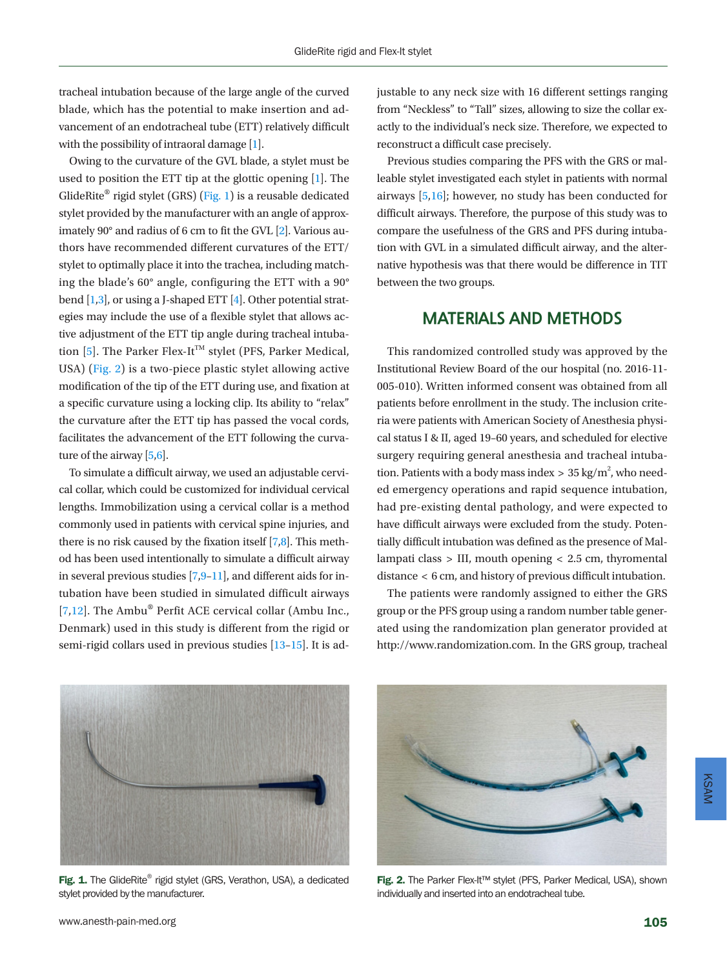tracheal intubation because of the large angle of the curved blade, which has the potential to make insertion and advancement of an endotracheal tube (ETT) relatively difficult with the possibility of intraoral damage [1].

Owing to the curvature of the GVL blade, a stylet must be used to position the ETT tip at the glottic opening [1]. The GlideRite<sup>®</sup> rigid stylet (GRS) ( $Fig. 1$ ) is a reusable dedicated stylet provided by the manufacturer with an angle of approximately 90° and radius of 6 cm to fit the GVL [\[2](#page-7-0)]. Various authors have recommended different curvatures of the ETT/ stylet to optimally place it into the trachea, including matching the blade's 60° angle, configuring the ETT with a 90° bend [1,[3](#page-7-1)], or using a J-shaped ETT [\[4](#page-7-2)]. Other potential strategies may include the use of a flexible stylet that allows active adjustment of the ETT tip angle during tracheal intuba-tion [\[5\]](#page-7-0). The Parker Flex-It<sup>TM</sup> stylet (PFS, Parker Medical, USA) [\(Fig. 2](#page-1-1)) is a two-piece plastic stylet allowing active modification of the tip of the ETT during use, and fixation at a specific curvature using a locking clip. Its ability to "relax" the curvature after the ETT tip has passed the vocal cords, facilitates the advancement of the ETT following the curvature of the airway [\[5](#page-7-0)[,6](#page-7-3)].

To simulate a difficult airway, we used an adjustable cervical collar, which could be customized for individual cervical lengths. Immobilization using a cervical collar is a method commonly used in patients with cervical spine injuries, and there is no risk caused by the fixation itself [\[7](#page-7-2)[,8\]](#page-7-4). This method has been used intentionally to simulate a difficult airway in several previous studies  $[7,9-11]$  $[7,9-11]$  $[7,9-11]$ , and different aids for intubation have been studied in simulated difficult airways [\[7](#page-7-2)[,12](#page-7-7)]. The Ambu® Perfit ACE cervical collar (Ambu Inc., Denmark) used in this study is different from the rigid or semi-rigid collars used in previous studies [\[13](#page-7-8)[–15\]](#page-7-9). It is adjustable to any neck size with 16 different settings ranging from "Neckless" to "Tall" sizes, allowing to size the collar exactly to the individual's neck size. Therefore, we expected to reconstruct a difficult case precisely.

Previous studies comparing the PFS with the GRS or malleable stylet investigated each stylet in patients with normal airways [\[5,](#page-7-0)[16\]](#page-7-10); however, no study has been conducted for difficult airways. Therefore, the purpose of this study was to compare the usefulness of the GRS and PFS during intubation with GVL in a simulated difficult airway, and the alternative hypothesis was that there would be difference in TIT between the two groups.

### **MATERIALS AND METHODS**

This randomized controlled study was approved by the Institutional Review Board of the our hospital (no. 2016-11- 005-010). Written informed consent was obtained from all patients before enrollment in the study. The inclusion criteria were patients with American Society of Anesthesia physical status I & II, aged 19–60 years, and scheduled for elective surgery requiring general anesthesia and tracheal intubation. Patients with a body mass index  $> 35$  kg/m<sup>2</sup>, who needed emergency operations and rapid sequence intubation, had pre-existing dental pathology, and were expected to have difficult airways were excluded from the study. Potentially difficult intubation was defined as the presence of Mallampati class > III, mouth opening < 2.5 cm, thyromental distance < 6 cm, and history of previous difficult intubation.

The patients were randomly assigned to either the GRS group or the PFS group using a random number table generated using the randomization plan generator provided at <http://www.randomization.com.> In the GRS group, tracheal

<span id="page-1-0"></span>

Fig. 1. The GlideRite® rigid stylet (GRS, Verathon, USA), a dedicated stylet provided by the manufacturer.

<span id="page-1-1"></span>

Fig. 2. The Parker Flex-It™ stylet (PFS, Parker Medical, USA), shown individually and inserted into an endotracheal tube.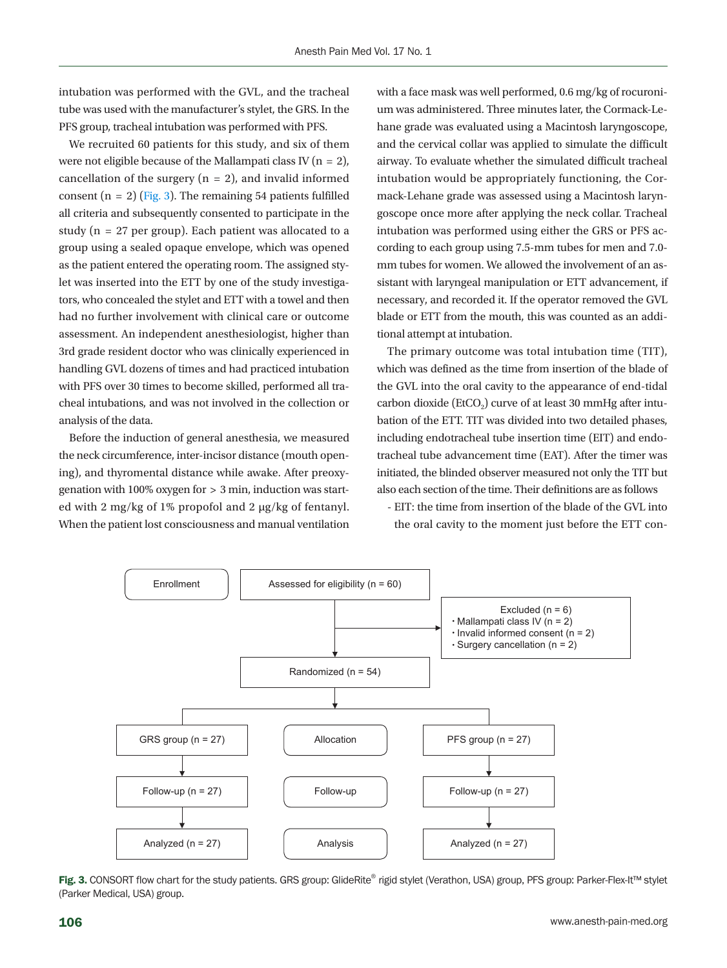intubation was performed with the GVL, and the tracheal tube was used with the manufacturer's stylet, the GRS. In the PFS group, tracheal intubation was performed with PFS.

We recruited 60 patients for this study, and six of them were not eligible because of the Mallampati class IV ( $n = 2$ ), cancellation of the surgery  $(n = 2)$ , and invalid informed consent  $(n = 2)$  [\(Fig. 3](#page-2-0)). The remaining 54 patients fulfilled all criteria and subsequently consented to participate in the study ( $n = 27$  per group). Each patient was allocated to a group using a sealed opaque envelope, which was opened as the patient entered the operating room. The assigned stylet was inserted into the ETT by one of the study investigators, who concealed the stylet and ETT with a towel and then had no further involvement with clinical care or outcome assessment. An independent anesthesiologist, higher than 3rd grade resident doctor who was clinically experienced in handling GVL dozens of times and had practiced intubation with PFS over 30 times to become skilled, performed all tracheal intubations, and was not involved in the collection or analysis of the data.

Before the induction of general anesthesia, we measured the neck circumference, inter-incisor distance (mouth opening), and thyromental distance while awake. After preoxygenation with 100% oxygen for > 3 min, induction was started with 2 mg/kg of 1% propofol and 2 μg/kg of fentanyl. When the patient lost consciousness and manual ventilation with a face mask was well performed, 0.6 mg/kg of rocuronium was administered. Three minutes later, the Cormack-Lehane grade was evaluated using a Macintosh laryngoscope, and the cervical collar was applied to simulate the difficult airway. To evaluate whether the simulated difficult tracheal intubation would be appropriately functioning, the Cormack-Lehane grade was assessed using a Macintosh laryngoscope once more after applying the neck collar. Tracheal intubation was performed using either the GRS or PFS according to each group using 7.5-mm tubes for men and 7.0 mm tubes for women. We allowed the involvement of an assistant with laryngeal manipulation or ETT advancement, if necessary, and recorded it. If the operator removed the GVL blade or ETT from the mouth, this was counted as an additional attempt at intubation.

The primary outcome was total intubation time (TIT), which was defined as the time from insertion of the blade of the GVL into the oral cavity to the appearance of end-tidal carbon dioxide (EtCO<sub>2</sub>) curve of at least 30 mmHg after intubation of the ETT. TIT was divided into two detailed phases, including endotracheal tube insertion time (EIT) and endotracheal tube advancement time (EAT). After the timer was initiated, the blinded observer measured not only the TIT but also each section of the time. Their definitions are as follows

- EIT: the time from insertion of the blade of the GVL into the oral cavity to the moment just before the ETT con-

<span id="page-2-0"></span>

Fig. 3. CONSORT flow chart for the study patients. GRS group: GlideRite® rigid stylet (Verathon, USA) group, PFS group: Parker-Flex-It™ stylet (Parker Medical, USA) group.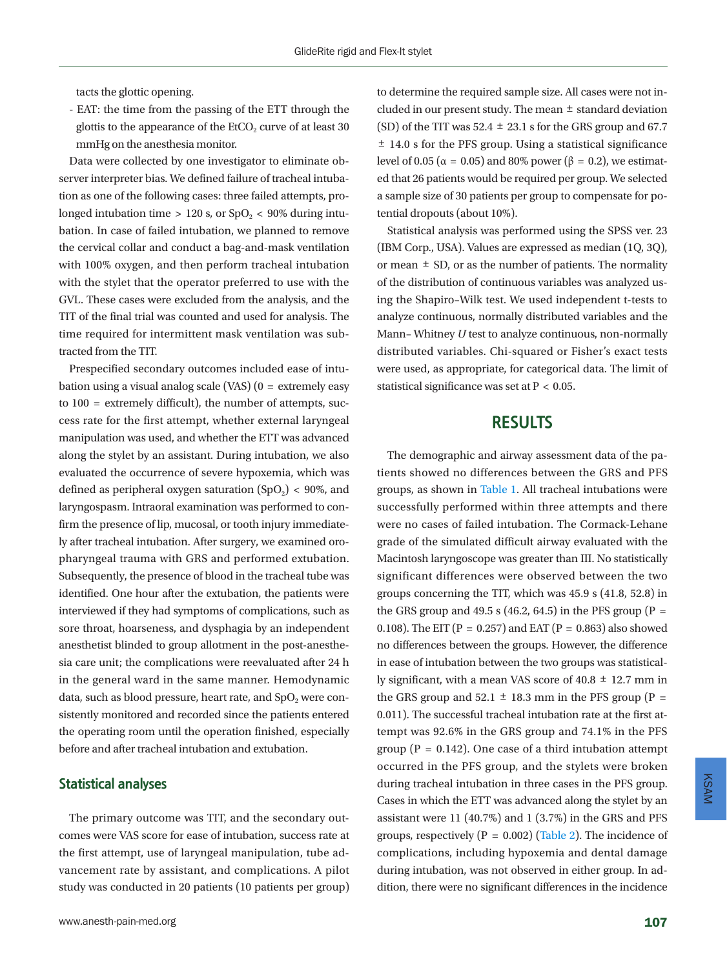tacts the glottic opening.

- EAT: the time from the passing of the ETT through the glottis to the appearance of the EtCO<sub>2</sub> curve of at least  $30$ mmHg on the anesthesia monitor.

Data were collected by one investigator to eliminate observer interpreter bias. We defined failure of tracheal intubation as one of the following cases: three failed attempts, prolonged intubation time  $> 120$  s, or  $SpO<sub>2</sub> < 90\%$  during intubation. In case of failed intubation, we planned to remove the cervical collar and conduct a bag-and-mask ventilation with 100% oxygen, and then perform tracheal intubation with the stylet that the operator preferred to use with the GVL. These cases were excluded from the analysis, and the TIT of the final trial was counted and used for analysis. The time required for intermittent mask ventilation was subtracted from the TIT.

Prespecified secondary outcomes included ease of intubation using a visual analog scale (VAS)  $(0 =$  extremely easy to 100 = extremely difficult), the number of attempts, success rate for the first attempt, whether external laryngeal manipulation was used, and whether the ETT was advanced along the stylet by an assistant. During intubation, we also evaluated the occurrence of severe hypoxemia, which was defined as peripheral oxygen saturation  $(SpO<sub>2</sub>) < 90\%$ , and laryngospasm. Intraoral examination was performed to confirm the presence of lip, mucosal, or tooth injury immediately after tracheal intubation. After surgery, we examined oropharyngeal trauma with GRS and performed extubation. Subsequently, the presence of blood in the tracheal tube was identified. One hour after the extubation, the patients were interviewed if they had symptoms of complications, such as sore throat, hoarseness, and dysphagia by an independent anesthetist blinded to group allotment in the post-anesthesia care unit; the complications were reevaluated after 24 h in the general ward in the same manner. Hemodynamic data, such as blood pressure, heart rate, and SpO<sub>2</sub> were consistently monitored and recorded since the patients entered the operating room until the operation finished, especially before and after tracheal intubation and extubation.

### **Statistical analyses**

The primary outcome was TIT, and the secondary outcomes were VAS score for ease of intubation, success rate at the first attempt, use of laryngeal manipulation, tube advancement rate by assistant, and complications. A pilot study was conducted in 20 patients (10 patients per group)

to determine the required sample size. All cases were not included in our present study. The mean  $\pm$  standard deviation (SD) of the TIT was  $52.4 \pm 23.1$  s for the GRS group and 67.7 ± 14.0 s for the PFS group. Using a statistical significance level of 0.05 ( $\alpha = 0.05$ ) and 80% power (β = 0.2), we estimated that 26 patients would be required per group. We selected a sample size of 30 patients per group to compensate for potential dropouts (about 10%).

Statistical analysis was performed using the SPSS ver. 23 (IBM Corp., USA). Values are expressed as median (1Q, 3Q), or mean  $\pm$  SD, or as the number of patients. The normality of the distribution of continuous variables was analyzed using the Shapiro–Wilk test. We used independent t-tests to analyze continuous, normally distributed variables and the Mann– Whitney *U* test to analyze continuous, non-normally distributed variables. Chi-squared or Fisher's exact tests were used, as appropriate, for categorical data. The limit of statistical significance was set at P < 0.05.

### **RESULTS**

The demographic and airway assessment data of the patients showed no differences between the GRS and PFS groups, as shown in [Table 1](#page-4-0). All tracheal intubations were successfully performed within three attempts and there were no cases of failed intubation. The Cormack-Lehane grade of the simulated difficult airway evaluated with the Macintosh laryngoscope was greater than III. No statistically significant differences were observed between the two groups concerning the TIT, which was 45.9 s (41.8, 52.8) in the GRS group and 49.5 s (46.2, 64.5) in the PFS group ( $P =$ 0.108). The EIT (P = 0.257) and EAT (P = 0.863) also showed no differences between the groups. However, the difference in ease of intubation between the two groups was statistically significant, with a mean VAS score of 40.8 ± 12.7 mm in the GRS group and 52.1  $\pm$  18.3 mm in the PFS group (P = 0.011). The successful tracheal intubation rate at the first attempt was 92.6% in the GRS group and 74.1% in the PFS group ( $P = 0.142$ ). One case of a third intubation attempt occurred in the PFS group, and the stylets were broken during tracheal intubation in three cases in the PFS group. Cases in which the ETT was advanced along the stylet by an assistant were 11 (40.7%) and 1 (3.7%) in the GRS and PFS groups, respectively ( $P = 0.002$ ) [\(Table 2](#page-4-1)). The incidence of complications, including hypoxemia and dental damage during intubation, was not observed in either group. In addition, there were no significant differences in the incidence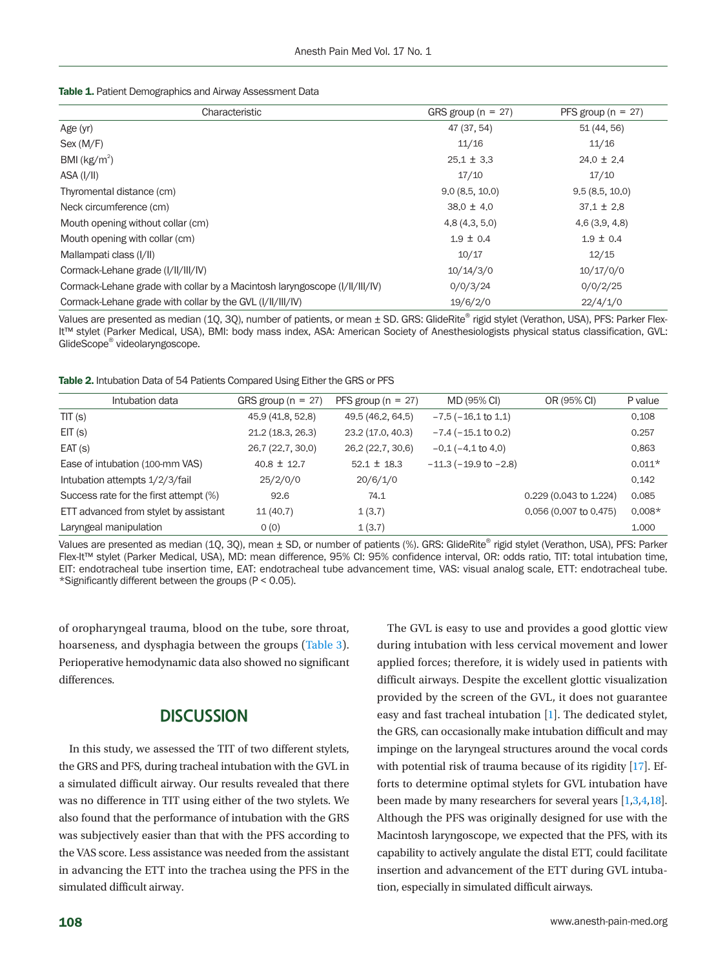<span id="page-4-0"></span>

|  | <b>Table 1.</b> Patient Demographics and Airway Assessment Data |  |  |  |
|--|-----------------------------------------------------------------|--|--|--|
|--|-----------------------------------------------------------------|--|--|--|

| Characteristic                                                             | GRS group ( $n = 27$ ) | PFS group ( $n = 27$ ) |
|----------------------------------------------------------------------------|------------------------|------------------------|
| Age (yr)                                                                   | 47 (37, 54)            | 51 (44, 56)            |
| Sex (M/F)                                                                  | 11/16                  | 11/16                  |
| BMI $(kg/m2)$                                                              | $25.1 \pm 3.3$         | $24.0 \pm 2.4$         |
| ASA (I/II)                                                                 | 17/10                  | 17/10                  |
| Thyromental distance (cm)                                                  | 9.0(8.5, 10.0)         | 9.5(8.5, 10.0)         |
| Neck circumference (cm)                                                    | $38.0 \pm 4.0$         | $37.1 \pm 2.8$         |
| Mouth opening without collar (cm)                                          | 4.8(4.3, 5.0)          | 4.6(3.9, 4.8)          |
| Mouth opening with collar (cm)                                             | $1.9 \pm 0.4$          | $1.9 \pm 0.4$          |
| Mallampati class (I/II)                                                    | 10/17                  | 12/15                  |
| Cormack-Lehane grade (I/II/III/IV)                                         | 10/14/3/0              | 10/17/0/0              |
| Cormack-Lehane grade with collar by a Macintosh laryngoscope (I/II/III/IV) | 0/0/3/24               | 0/0/2/25               |
| Cormack-Lehane grade with collar by the GVL (I/II/III/IV)                  | 19/6/2/0               | 22/4/1/0               |

Values are presented as median (1Q, 3Q), number of patients, or mean ± SD. GRS: GlideRite® rigid stylet (Verathon, USA), PFS: Parker Flex-It™ stylet (Parker Medical, USA), BMI: body mass index, ASA: American Society of Anesthesiologists physical status classification, GVL: GlideScope® videolaryngoscope.

<span id="page-4-1"></span>Table 2. Intubation Data of 54 Patients Compared Using Either the GRS or PFS

| Intubation data                        | GRS group ( $n = 27$ ) | PFS group ( $n = 27$ ) | MD (95% CI)              | OR (95% CI)            | P value  |
|----------------------------------------|------------------------|------------------------|--------------------------|------------------------|----------|
| TIT(S)                                 | 45.9 (41.8, 52.8)      | 49.5 (46.2, 64.5)      | $-7.5$ ( $-16.1$ to 1.1) |                        | 0,108    |
| EIT(S)                                 | 21.2(18.3, 26.3)       | 23.2 (17.0, 40.3)      | $-7.4$ ( $-15.1$ to 0.2) |                        | 0.257    |
| EAT(s)                                 | 26.7 (22.7, 30.0)      | 26.2 (22.7, 30.6)      | $-0.1$ ( $-4.1$ to 4.0)  |                        | 0.863    |
| Ease of intubation (100-mm VAS)        | $40.8 \pm 12.7$        | $52.1 \pm 18.3$        | $-11.3(-19.9 to -2.8)$   |                        | $0.011*$ |
| Intubation attempts 1/2/3/fail         | 25/2/0/0               | 20/6/1/0               |                          |                        | 0.142    |
| Success rate for the first attempt (%) | 92.6                   | 74.1                   |                          | 0,229 (0,043 to 1,224) | 0,085    |
| ETT advanced from stylet by assistant  | 11(40.7)               | 1(3.7)                 |                          | 0,056 (0,007 to 0,475) | $0.008*$ |
| Laryngeal manipulation                 | 0(0)                   | 1(3.7)                 |                          |                        | 1.000    |

Values are presented as median (1Q, 3Q), mean ± SD, or number of patients (%). GRS: GlideRite® rigid stylet (Verathon, USA), PFS: Parker Flex-It™ stylet (Parker Medical, USA), MD: mean difference, 95% CI: 95% confidence interval, OR: odds ratio, TIT: total intubation time, EIT: endotracheal tube insertion time, EAT: endotracheal tube advancement time, VAS: visual analog scale, ETT: endotracheal tube. \*Significantly different between the groups (P < 0.05).

of oropharyngeal trauma, blood on the tube, sore throat, hoarseness, and dysphagia between the groups ([Table 3](#page-5-0)). Perioperative hemodynamic data also showed no significant differences.

### **DISCUSSION**

In this study, we assessed the TIT of two different stylets, the GRS and PFS, during tracheal intubation with the GVL in a simulated difficult airway. Our results revealed that there was no difference in TIT using either of the two stylets. We also found that the performance of intubation with the GRS was subjectively easier than that with the PFS according to the VAS score. Less assistance was needed from the assistant in advancing the ETT into the trachea using the PFS in the simulated difficult airway.

The GVL is easy to use and provides a good glottic view during intubation with less cervical movement and lower applied forces; therefore, it is widely used in patients with difficult airways. Despite the excellent glottic visualization provided by the screen of the GVL, it does not guarantee easy and fast tracheal intubation [\[1\]](#page-7-11). The dedicated stylet, the GRS, can occasionally make intubation difficult and may impinge on the laryngeal structures around the vocal cords with potential risk of trauma because of its rigidity [\[17\]](#page-7-12). Efforts to determine optimal stylets for GVL intubation have been made by many researchers for several years [\[1](#page-7-11),[3](#page-7-13)[,4](#page-7-14)[,18\]](#page-7-15). Although the PFS was originally designed for use with the Macintosh laryngoscope, we expected that the PFS, with its capability to actively angulate the distal ETT, could facilitate insertion and advancement of the ETT during GVL intubation, especially in simulated difficult airways.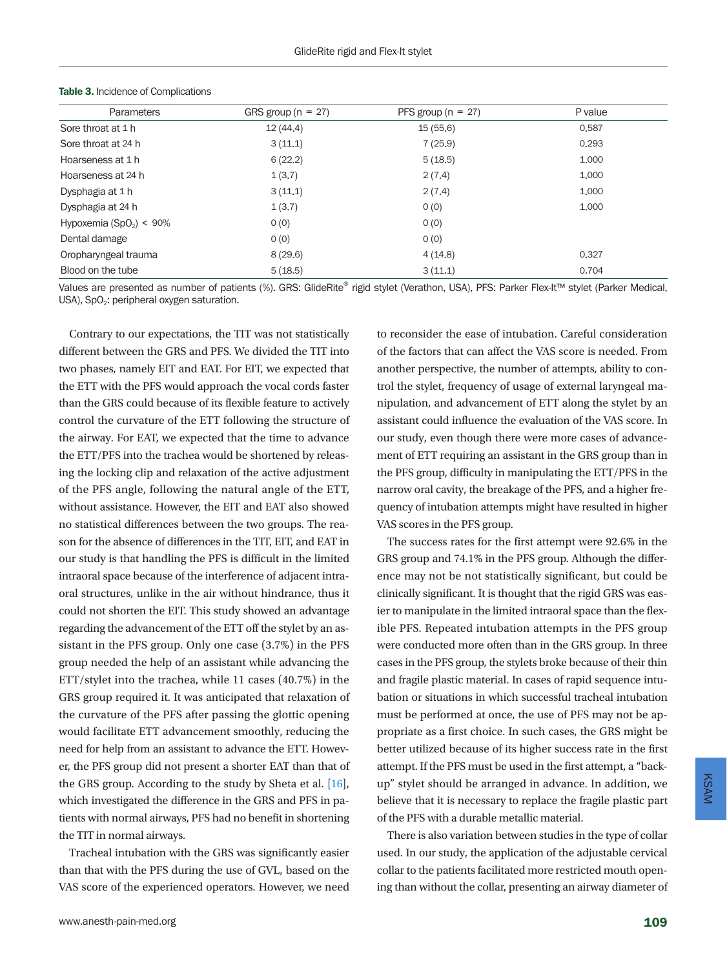| Parameters                | GRS group $(n = 27)$ | PFS group ( $n = 27$ ) | P value |
|---------------------------|----------------------|------------------------|---------|
| Sore throat at 1 h        | 12(44.4)             | 15(55.6)               | 0.587   |
| Sore throat at 24 h       | 3(11,1)              | 7(25.9)                | 0,293   |
| Hoarseness at 1 h         | 6(22.2)              | 5(18.5)                | 1.000   |
| Hoarseness at 24 h        | 1(3.7)               | 2(7.4)                 | 1.000   |
| Dysphagia at 1 h          | 3(11,1)              | 2(7.4)                 | 1,000   |
| Dysphagia at 24 h         | 1(3.7)               | 0(0)                   | 1.000   |
| Hypoxemia $(SpO2) < 90\%$ | 0(0)                 | 0(0)                   |         |
| Dental damage             | 0(0)                 | 0(0)                   |         |
| Oropharyngeal trauma      | 8(29.6)              | 4(14.8)                | 0,327   |
| Blood on the tube         | 5(18,5)              | 3(11,1)                | 0.704   |

#### <span id="page-5-0"></span>Table 3. Incidence of Complications

Values are presented as number of patients (%). GRS: GlideRite® rigid stylet (Verathon, USA), PFS: Parker Flex-It™ stylet (Parker Medical, USA), SpO<sub>2</sub>: peripheral oxygen saturation.

Contrary to our expectations, the TIT was not statistically different between the GRS and PFS. We divided the TIT into two phases, namely EIT and EAT. For EIT, we expected that the ETT with the PFS would approach the vocal cords faster than the GRS could because of its flexible feature to actively control the curvature of the ETT following the structure of the airway. For EAT, we expected that the time to advance the ETT/PFS into the trachea would be shortened by releasing the locking clip and relaxation of the active adjustment of the PFS angle, following the natural angle of the ETT, without assistance. However, the EIT and EAT also showed no statistical differences between the two groups. The reason for the absence of differences in the TIT, EIT, and EAT in our study is that handling the PFS is difficult in the limited intraoral space because of the interference of adjacent intraoral structures, unlike in the air without hindrance, thus it could not shorten the EIT. This study showed an advantage regarding the advancement of the ETT off the stylet by an assistant in the PFS group. Only one case (3.7%) in the PFS group needed the help of an assistant while advancing the ETT/stylet into the trachea, while 11 cases (40.7%) in the GRS group required it. It was anticipated that relaxation of the curvature of the PFS after passing the glottic opening would facilitate ETT advancement smoothly, reducing the need for help from an assistant to advance the ETT. However, the PFS group did not present a shorter EAT than that of the GRS group. According to the study by Sheta et al. [\[16\]](#page-7-16), which investigated the difference in the GRS and PFS in patients with normal airways, PFS had no benefit in shortening the TIT in normal airways.

Tracheal intubation with the GRS was significantly easier than that with the PFS during the use of GVL, based on the VAS score of the experienced operators. However, we need to reconsider the ease of intubation. Careful consideration of the factors that can affect the VAS score is needed. From another perspective, the number of attempts, ability to control the stylet, frequency of usage of external laryngeal manipulation, and advancement of ETT along the stylet by an assistant could influence the evaluation of the VAS score. In our study, even though there were more cases of advancement of ETT requiring an assistant in the GRS group than in the PFS group, difficulty in manipulating the ETT/PFS in the narrow oral cavity, the breakage of the PFS, and a higher frequency of intubation attempts might have resulted in higher VAS scores in the PFS group.

The success rates for the first attempt were 92.6% in the GRS group and 74.1% in the PFS group. Although the difference may not be not statistically significant, but could be clinically significant. It is thought that the rigid GRS was easier to manipulate in the limited intraoral space than the flexible PFS. Repeated intubation attempts in the PFS group were conducted more often than in the GRS group. In three cases in the PFS group, the stylets broke because of their thin and fragile plastic material. In cases of rapid sequence intubation or situations in which successful tracheal intubation must be performed at once, the use of PFS may not be appropriate as a first choice. In such cases, the GRS might be better utilized because of its higher success rate in the first attempt. If the PFS must be used in the first attempt, a "backup" stylet should be arranged in advance. In addition, we believe that it is necessary to replace the fragile plastic part of the PFS with a durable metallic material.

There is also variation between studies in the type of collar used. In our study, the application of the adjustable cervical collar to the patients facilitated more restricted mouth opening than without the collar, presenting an airway diameter of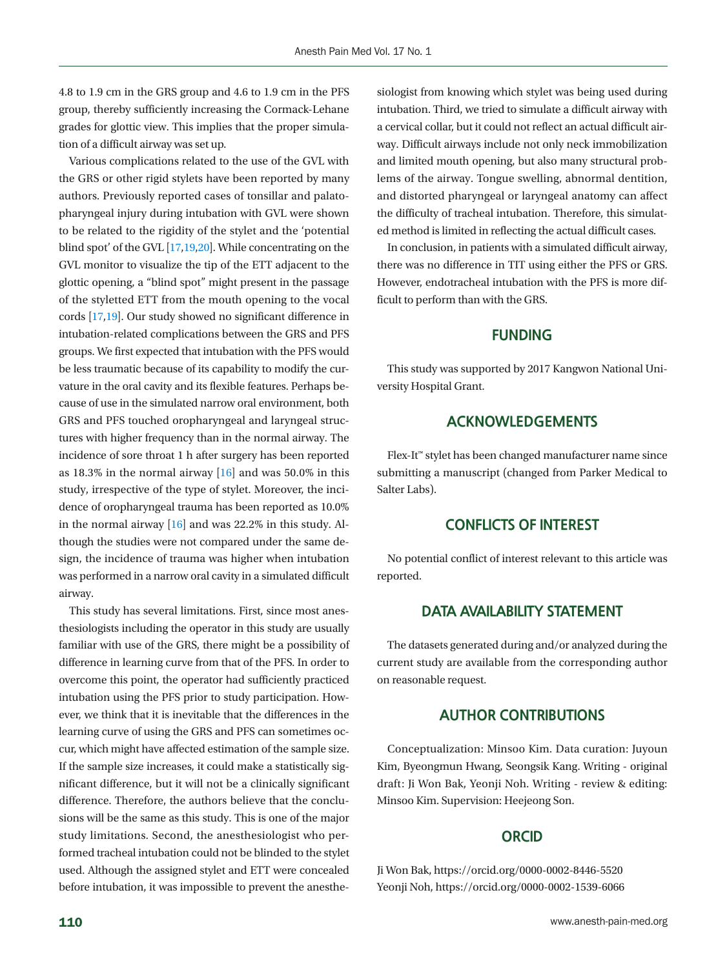4.8 to 1.9 cm in the GRS group and 4.6 to 1.9 cm in the PFS group, thereby sufficiently increasing the Cormack-Lehane grades for glottic view. This implies that the proper simulation of a difficult airway was set up.

Various complications related to the use of the GVL with the GRS or other rigid stylets have been reported by many authors. Previously reported cases of tonsillar and palatopharyngeal injury during intubation with GVL were shown to be related to the rigidity of the stylet and the 'potential blind spot' of the GVL [\[17](#page-7-8)[,19](#page-7-17)[,20\]](#page-7-18). While concentrating on the GVL monitor to visualize the tip of the ETT adjacent to the glottic opening, a "blind spot" might present in the passage of the styletted ETT from the mouth opening to the vocal cords [\[17,](#page-7-19)[19](#page-7-9)]. Our study showed no significant difference in intubation-related complications between the GRS and PFS groups. We first expected that intubation with the PFS would be less traumatic because of its capability to modify the curvature in the oral cavity and its flexible features. Perhaps because of use in the simulated narrow oral environment, both GRS and PFS touched oropharyngeal and laryngeal structures with higher frequency than in the normal airway. The incidence of sore throat 1 h after surgery has been reported as 18.3% in the normal airway  $[16]$  $[16]$  and was 50.0% in this study, irrespective of the type of stylet. Moreover, the incidence of oropharyngeal trauma has been reported as 10.0% in the normal airway [\[16\]](#page-7-20) and was 22.2% in this study. Although the studies were not compared under the same design, the incidence of trauma was higher when intubation was performed in a narrow oral cavity in a simulated difficult airway.

This study has several limitations. First, since most anesthesiologists including the operator in this study are usually familiar with use of the GRS, there might be a possibility of difference in learning curve from that of the PFS. In order to overcome this point, the operator had sufficiently practiced intubation using the PFS prior to study participation. However, we think that it is inevitable that the differences in the learning curve of using the GRS and PFS can sometimes occur, which might have affected estimation of the sample size. If the sample size increases, it could make a statistically significant difference, but it will not be a clinically significant difference. Therefore, the authors believe that the conclusions will be the same as this study. This is one of the major study limitations. Second, the anesthesiologist who performed tracheal intubation could not be blinded to the stylet used. Although the assigned stylet and ETT were concealed before intubation, it was impossible to prevent the anesthesiologist from knowing which stylet was being used during intubation. Third, we tried to simulate a difficult airway with a cervical collar, but it could not reflect an actual difficult airway. Difficult airways include not only neck immobilization and limited mouth opening, but also many structural problems of the airway. Tongue swelling, abnormal dentition, and distorted pharyngeal or laryngeal anatomy can affect the difficulty of tracheal intubation. Therefore, this simulated method is limited in reflecting the actual difficult cases.

In conclusion, in patients with a simulated difficult airway, there was no difference in TIT using either the PFS or GRS. However, endotracheal intubation with the PFS is more difficult to perform than with the GRS.

### **FUNDING**

This study was supported by 2017 Kangwon National University Hospital Grant.

### **ACKNOWLEDGEMENTS**

Flex-It™ stylet has been changed manufacturer name since submitting a manuscript (changed from Parker Medical to Salter Labs).

### **CONFLICTS OF INTEREST**

No potential conflict of interest relevant to this article was reported.

### **DATA AVAILABILITY STATEMENT**

The datasets generated during and/or analyzed during the current study are available from the corresponding author on reasonable request.

### **AUTHOR CONTRIBUTIONS**

Conceptualization: Minsoo Kim. Data curation: Juyoun Kim, Byeongmun Hwang, Seongsik Kang. Writing - original draft: Ji Won Bak, Yeonji Noh. Writing - review & editing: Minsoo Kim. Supervision: Heejeong Son.

### **ORCID**

Ji Won Bak, [https://orcid.org/0000-0002-8446-5520](http://orcid.org/0000-0002-8446-5520) Yeonji Noh, [https://orcid.org/0000-0002-1539-606](http://orcid.org/0000-0002-1539-6066)6